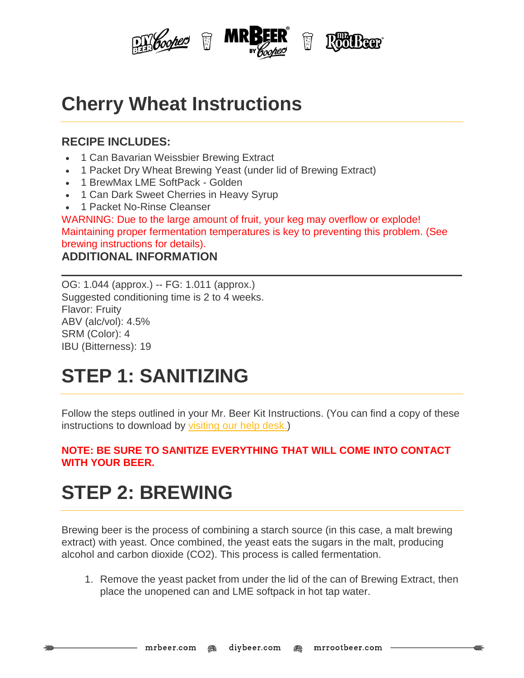

## **Cherry Wheat Instructions**

### **RECIPE INCLUDES:**

- 1 Can Bavarian Weissbier Brewing Extract
- 1 Packet Dry Wheat Brewing Yeast (under lid of Brewing Extract)
- 1 BrewMax LME SoftPack Golden
- 1 Can Dark Sweet Cherries in Heavy Syrup
- 1 Packet No-Rinse Cleanser

WARNING: Due to the large amount of fruit, your keg may overflow or explode! Maintaining proper fermentation temperatures is key to preventing this problem. (See brewing instructions for details).

#### **ADDITIONAL INFORMATION**

OG: 1.044 (approx.) -- FG: 1.011 (approx.) Suggested conditioning time is 2 to 4 weeks. Flavor: Fruity ABV (alc/vol): 4.5% SRM (Color): 4 IBU (Bitterness): 19

# **STEP 1: SANITIZING**

Follow the steps outlined in your Mr. Beer Kit Instructions. (You can find a copy of these instructions to download by [visiting](http://www.mrbeer.com/help) our help desk.)

#### **NOTE: BE SURE TO SANITIZE EVERYTHING THAT WILL COME INTO CONTACT WITH YOUR BEER.**

## **STEP 2: BREWING**

Brewing beer is the process of combining a starch source (in this case, a malt brewing extract) with yeast. Once combined, the yeast eats the sugars in the malt, producing alcohol and carbon dioxide (CO2). This process is called fermentation.

1. Remove the yeast packet from under the lid of the can of Brewing Extract, then place the unopened can and LME softpack in hot tap water.